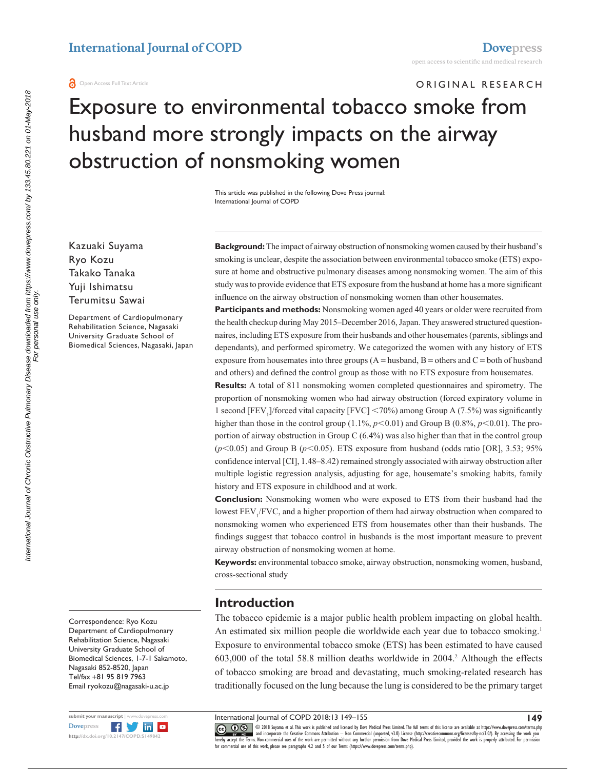# ORIGINAL RESEARCH

# Exposure to environmental tobacco smoke from husband more strongly impacts on the airway obstruction of nonsmoking women

This article was published in the following Dove Press journal: International Journal of COPD

Kazuaki Suyama Ryo Kozu Takako Tanaka Yuji Ishimatsu Terumitsu Sawai

Department of Cardiopulmonary Rehabilitation Science, Nagasaki University Graduate School of Biomedical Sciences, Nagasaki, Japan

Correspondence: Ryo Kozu Department of Cardiopulmonary Rehabilitation Science, Nagasaki University Graduate School of Biomedical Sciences, 1-7-1 Sakamoto, Nagasaki 852-8520, Japan Tel/fax +81 95 819 7963 Email [ryokozu@nagasaki-u.ac.jp](mailto:ryokozu@nagasaki-u.ac.jp)



**Background:** The impact of airway obstruction of nonsmoking women caused by their husband's smoking is unclear, despite the association between environmental tobacco smoke (ETS) exposure at home and obstructive pulmonary diseases among nonsmoking women. The aim of this study was to provide evidence that ETS exposure from the husband at home has a more significant influence on the airway obstruction of nonsmoking women than other housemates.

**Participants and methods:** Nonsmoking women aged 40 years or older were recruited from the health checkup during May 2015–December 2016, Japan. They answered structured questionnaires, including ETS exposure from their husbands and other housemates (parents, siblings and dependants), and performed spirometry. We categorized the women with any history of ETS exposure from housemates into three groups  $(A = h$ usband,  $B = o$ chers and  $C = both$  of husband and others) and defined the control group as those with no ETS exposure from housemates.

**Results:** A total of 811 nonsmoking women completed questionnaires and spirometry. The proportion of nonsmoking women who had airway obstruction (forced expiratory volume in 1 second [FEV<sub>1</sub>]/forced vital capacity [FVC] <70%) among Group A (7.5%) was significantly higher than those in the control group  $(1.1\%, p<0.01)$  and Group B  $(0.8\%, p<0.01)$ . The proportion of airway obstruction in Group C (6.4%) was also higher than that in the control group  $(p<0.05)$  and Group B  $(p<0.05)$ . ETS exposure from husband (odds ratio [OR], 3.53; 95% confidence interval [CI], 1.48–8.42) remained strongly associated with airway obstruction after multiple logistic regression analysis, adjusting for age, housemate's smoking habits, family history and ETS exposure in childhood and at work.

**Conclusion:** Nonsmoking women who were exposed to ETS from their husband had the lowest FEV<sub>1</sub>/FVC, and a higher proportion of them had airway obstruction when compared to nonsmoking women who experienced ETS from housemates other than their husbands. The findings suggest that tobacco control in husbands is the most important measure to prevent airway obstruction of nonsmoking women at home.

**Keywords:** environmental tobacco smoke, airway obstruction, nonsmoking women, husband, cross-sectional study

# **Introduction**

The tobacco epidemic is a major public health problem impacting on global health. An estimated six million people die worldwide each year due to tobacco smoking.<sup>1</sup> Exposure to environmental tobacco smoke (ETS) has been estimated to have caused 603,000 of the total 58.8 million deaths worldwide in 2004.2 Although the effects of tobacco smoking are broad and devastating, much smoking-related research has traditionally focused on the lung because the lung is considered to be the primary target

International Journal of COPD 2018:13 149–155

CCC 1 © 2018 Suyama et al. This work is published and licensed by Dove Medical Press Limited. The full terms of this license are available at <https://www.dovepress.com/terms.php><br>[hereby accept the Terms](http://www.dovepress.com/permissions.php). Non-commercial uses

**149**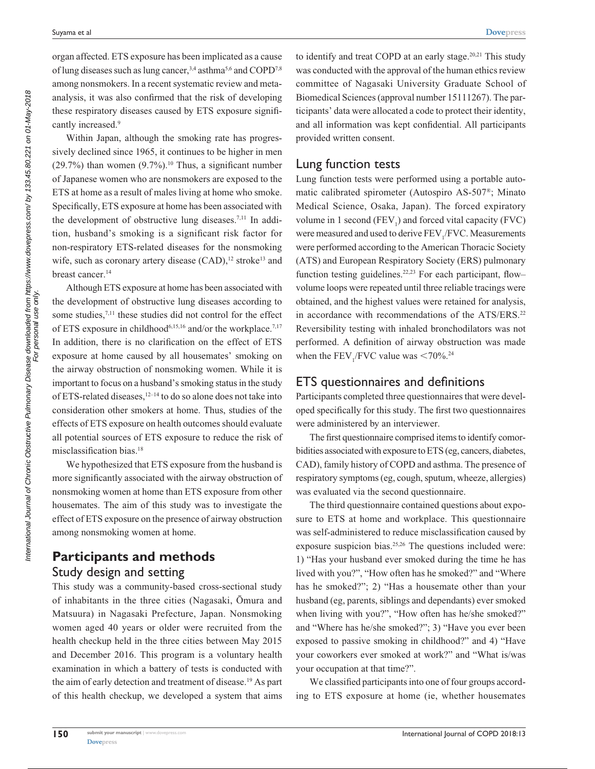organ affected. ETS exposure has been implicated as a cause of lung diseases such as lung cancer,<sup>3,4</sup> asthma<sup>5,6</sup> and COPD<sup>7,8</sup> among nonsmokers. In a recent systematic review and metaanalysis, it was also confirmed that the risk of developing these respiratory diseases caused by ETS exposure significantly increased.<sup>9</sup>

Within Japan, although the smoking rate has progressively declined since 1965, it continues to be higher in men (29.7%) than women  $(9.7\%)$ .<sup>10</sup> Thus, a significant number of Japanese women who are nonsmokers are exposed to the ETS at home as a result of males living at home who smoke. Specifically, ETS exposure at home has been associated with the development of obstructive lung diseases.<sup>7,11</sup> In addition, husband's smoking is a significant risk factor for non-respiratory ETS-related diseases for the nonsmoking wife, such as coronary artery disease  $(CAD)$ ,<sup>12</sup> stroke<sup>13</sup> and breast cancer.<sup>14</sup>

Although ETS exposure at home has been associated with the development of obstructive lung diseases according to some studies,<sup>7,11</sup> these studies did not control for the effect of ETS exposure in childhood<sup>6,15,16</sup> and/or the workplace.<sup>7,17</sup> In addition, there is no clarification on the effect of ETS exposure at home caused by all housemates' smoking on the airway obstruction of nonsmoking women. While it is important to focus on a husband's smoking status in the study of ETS-related diseases,12–14 to do so alone does not take into consideration other smokers at home. Thus, studies of the effects of ETS exposure on health outcomes should evaluate all potential sources of ETS exposure to reduce the risk of misclassification bias.18

We hypothesized that ETS exposure from the husband is more significantly associated with the airway obstruction of nonsmoking women at home than ETS exposure from other housemates. The aim of this study was to investigate the effect of ETS exposure on the presence of airway obstruction among nonsmoking women at home.

# **Participants and methods** Study design and setting

This study was a community-based cross-sectional study of inhabitants in the three cities (Nagasaki, Ōmura and Matsuura) in Nagasaki Prefecture, Japan. Nonsmoking women aged 40 years or older were recruited from the health checkup held in the three cities between May 2015 and December 2016. This program is a voluntary health examination in which a battery of tests is conducted with the aim of early detection and treatment of disease.<sup>19</sup> As part of this health checkup, we developed a system that aims

to identify and treat COPD at an early stage.<sup>20,21</sup> This study was conducted with the approval of the human ethics review committee of Nagasaki University Graduate School of Biomedical Sciences (approval number 15111267). The participants' data were allocated a code to protect their identity, and all information was kept confidential. All participants provided written consent.

## Lung function tests

Lung function tests were performed using a portable automatic calibrated spirometer (Autospiro AS-507®; Minato Medical Science, Osaka, Japan). The forced expiratory volume in 1 second  $(FEV_1)$  and forced vital capacity  $(FVC)$ were measured and used to derive  $\rm FEV_{1}/\rm FVC$ . Measurements were performed according to the American Thoracic Society (ATS) and European Respiratory Society (ERS) pulmonary function testing guidelines.<sup>22,23</sup> For each participant, flow– volume loops were repeated until three reliable tracings were obtained, and the highest values were retained for analysis, in accordance with recommendations of the ATS/ERS.<sup>22</sup> Reversibility testing with inhaled bronchodilators was not performed. A definition of airway obstruction was made when the  $FEV_1/FVC$  value was  $\leq 70\%$ .<sup>24</sup>

## ETS questionnaires and definitions

Participants completed three questionnaires that were developed specifically for this study. The first two questionnaires were administered by an interviewer.

The first questionnaire comprised items to identify comorbidities associated with exposure to ETS (eg, cancers, diabetes, CAD), family history of COPD and asthma. The presence of respiratory symptoms (eg, cough, sputum, wheeze, allergies) was evaluated via the second questionnaire.

The third questionnaire contained questions about exposure to ETS at home and workplace. This questionnaire was self-administered to reduce misclassification caused by exposure suspicion bias.25,26 The questions included were: 1) "Has your husband ever smoked during the time he has lived with you?", "How often has he smoked?" and "Where has he smoked?"; 2) "Has a housemate other than your husband (eg, parents, siblings and dependants) ever smoked when living with you?", "How often has he/she smoked?" and "Where has he/she smoked?"; 3) "Have you ever been exposed to passive smoking in childhood?" and 4) "Have your coworkers ever smoked at work?" and "What is/was your occupation at that time?".

We classified participants into one of four groups according to ETS exposure at home (ie, whether housemates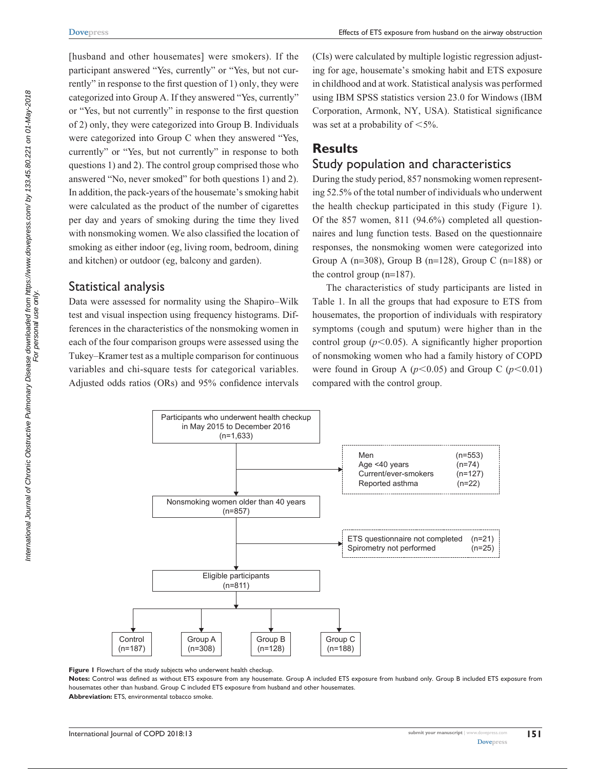[husband and other housemates] were smokers). If the participant answered "Yes, currently" or "Yes, but not currently" in response to the first question of 1) only, they were categorized into Group A. If they answered "Yes, currently" or "Yes, but not currently" in response to the first question of 2) only, they were categorized into Group B. Individuals were categorized into Group C when they answered "Yes, currently" or "Yes, but not currently" in response to both questions 1) and 2). The control group comprised those who answered "No, never smoked" for both questions 1) and 2). In addition, the pack-years of the housemate's smoking habit were calculated as the product of the number of cigarettes per day and years of smoking during the time they lived with nonsmoking women. We also classified the location of smoking as either indoor (eg, living room, bedroom, dining and kitchen) or outdoor (eg, balcony and garden).

#### Statistical analysis

Data were assessed for normality using the Shapiro–Wilk test and visual inspection using frequency histograms. Differences in the characteristics of the nonsmoking women in each of the four comparison groups were assessed using the Tukey–Kramer test as a multiple comparison for continuous variables and chi-square tests for categorical variables. Adjusted odds ratios (ORs) and 95% confidence intervals (CIs) were calculated by multiple logistic regression adjusting for age, housemate's smoking habit and ETS exposure in childhood and at work. Statistical analysis was performed using IBM SPSS statistics version 23.0 for Windows (IBM Corporation, Armonk, NY, USA). Statistical significance was set at a probability of  $\leq 5\%$ .

## **Results**

#### Study population and characteristics

During the study period, 857 nonsmoking women representing 52.5% of the total number of individuals who underwent the health checkup participated in this study (Figure 1). Of the 857 women, 811 (94.6%) completed all questionnaires and lung function tests. Based on the questionnaire responses, the nonsmoking women were categorized into Group A (n=308), Group B (n=128), Group C (n=188) or the control group (n=187).

The characteristics of study participants are listed in Table 1. In all the groups that had exposure to ETS from housemates, the proportion of individuals with respiratory symptoms (cough and sputum) were higher than in the control group  $(p<0.05)$ . A significantly higher proportion of nonsmoking women who had a family history of COPD were found in Group A ( $p$ <0.05) and Group C ( $p$ <0.01) compared with the control group.





**Notes:** Control was defined as without ETS exposure from any housemate. Group A included ETS exposure from husband only. Group B included ETS exposure from housemates other than husband. Group C included ETS exposure from husband and other housemates. **Abbreviation:** ETS, environmental tobacco smoke.

For personal use only.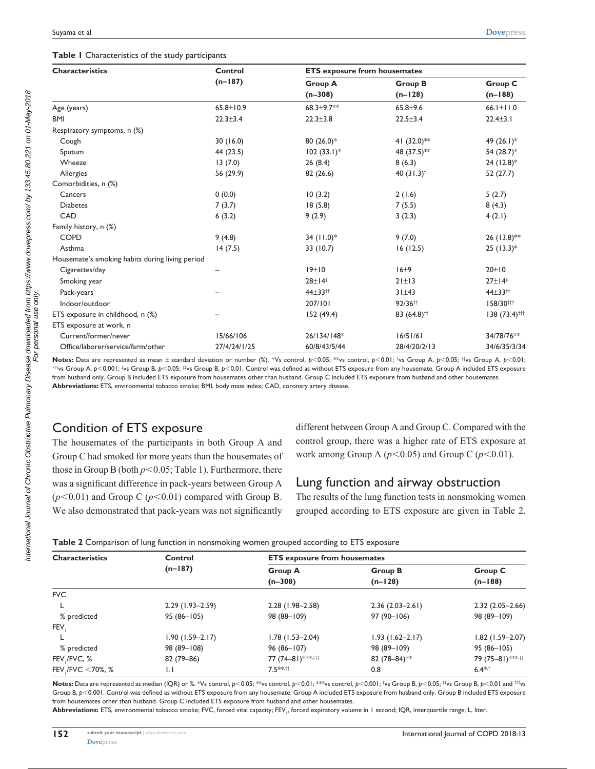#### **Table 1** Characteristics of the study participants

| <b>Characteristics</b>                          | Control<br>$(n=187)$ | <b>ETS</b> exposure from housemates |                          |                              |
|-------------------------------------------------|----------------------|-------------------------------------|--------------------------|------------------------------|
|                                                 |                      | <b>Group A</b>                      | <b>Group B</b>           | <b>Group C</b>               |
|                                                 |                      | $(n=308)$                           | $(n=128)$                | $(n=188)$                    |
| Age (years)                                     | $65.8 \pm 10.9$      | $68.3 \pm 9.7**$                    | $65.8 + 9.6$             | $66.1 \pm 11.0$              |
| <b>BMI</b>                                      | $22.3 \pm 3.4$       | $22.3 \pm 3.8$                      | $22.5 \pm 3.4$           | $22.4 \pm 3.1$               |
| Respiratory symptoms, n (%)                     |                      |                                     |                          |                              |
| Cough                                           | 30(16.0)             | 80 $(26.0)$ *                       | 41 (32.0)**              | 49 $(26.1)$ <sup>*</sup>     |
| Sputum                                          | 44 (23.5)            | $102 (33.1)^*$                      | 48 (37.5)**              | 54 (28.7)*                   |
| Wheeze                                          | 13(7.0)              | 26(8.4)                             | 8(6.3)                   | $24 (12.8)^*$                |
| Allergies                                       | 56 (29.9)            | 82 (26.6)                           | 40 $(31.3)$ <sup>†</sup> | 52 (27.7)                    |
| Comorbidities, n (%)                            |                      |                                     |                          |                              |
| Cancers                                         | 0(0.0)               | 10(3.2)                             | 2(1.6)                   | 5(2.7)                       |
| <b>Diabetes</b>                                 | 7(3.7)               | 18(5.8)                             | 7(5.5)                   | 8(4.3)                       |
| CAD                                             | 6(3.2)               | 9(2.9)                              | 3(2.3)                   | 4(2.1)                       |
| Family history, n (%)                           |                      |                                     |                          |                              |
| COPD                                            | 9(4.8)               | 34 $(11.0)^*$                       | 9(7.0)                   | 26 $(13.8)$ **               |
| Asthma                                          | 14(7.5)              | 33 (10.7)                           | 16(12.5)                 | $25(13.3)*$                  |
| Housemate's smoking habits during living period |                      |                                     |                          |                              |
| Cigarettes/day                                  | -                    | 19±10                               | 16±9                     | $20 \pm 10$                  |
| Smoking year                                    |                      | $28 \pm 14$ <sup>‡</sup>            | $21 \pm 13$              | $27 \pm 14^{\ddagger}$       |
| Pack-years                                      |                      | $44 + 33$ #                         | 31±43                    | $44\pm33$ #                  |
| Indoor/outdoor                                  |                      | 207/101                             | 92/36#                   | <b>158/30</b> <sup>+++</sup> |
| ETS exposure in childhood, n (%)                |                      | 152(49.4)                           | 83 (64.8) <sup>††</sup>  | $138(73.4)$ <sup>†††</sup>   |
| ETS exposure at work, n                         |                      |                                     |                          |                              |
| Current/former/never                            | 15/66/106            | 26/134/148*                         | 16/51/61                 | 34/78/76**                   |
| Office/laborer/service/farm/other               | 27/4/24/1/25         | 60/8/43/5/44                        | 28/4/20/2/13             | 34/6/35/3/34                 |

**Notes:** Data are represented as mean  $\pm$  standard deviation or number (%). \*Vs control,  $p<0.05$ ; \*\*vs control,  $p<0.01$ ; †vs Group A,  $p<0.05$ ; †vs Group A,  $p<0.01$ ; **Notes:** Data are represented as mean ± standard deviation or number (%). \*Vs control, p<0.05; \*\*vs control, p<0.01; †vs Group A, p<0.05; †vs Group A, p<0.01; +vs Group A, p<0.05; +vs Group B, p<0.05; +vs Group B, p<0.00; from husband only. Group B included ETS exposure from housemates other than husband. Group C included ETS exposure from husband and other housemates. **Abbreviations:** ETS, environmental tobacco smoke; BMI, body mass index; CAD, coronary artery disease.

# Condition of ETS exposure

The housemates of the participants in both Group A and Group C had smoked for more years than the housemates of those in Group B (both  $p<0.05$ ; Table 1). Furthermore, there was a significant difference in pack-years between Group A  $(p<0.01)$  and Group C  $(p<0.01)$  compared with Group B. We also demonstrated that pack-years was not significantly

**Table 2** Comparison of lung function in nonsmoking women grouped according to ETS exposure

different between Group A and Group C. Compared with the control group, there was a higher rate of ETS exposure at work among Group A ( $p$ <0.05) and Group C ( $p$ <0.01).

# Lung function and airway obstruction

The results of the lung function tests in nonsmoking women grouped according to ETS exposure are given in Table 2.

| <b>Characteristics</b> | Control<br>$(n=187)$ |                             | <b>ETS</b> exposure from housemates |                      |            |  |
|------------------------|----------------------|-----------------------------|-------------------------------------|----------------------|------------|--|
|                        |                      | <b>Group A</b><br>$(n=308)$ | <b>Group B</b><br>$(n=128)$         | Group C<br>$(n=188)$ |            |  |
|                        |                      |                             |                                     |                      | <b>FVC</b> |  |
|                        | $2.29$ (1.93-2.59)   | 2.28 (1.98-2.58)            | $2.36(2.03 - 2.61)$                 | $2.32(2.05 - 2.66)$  |            |  |
| % predicted            | $95(86 - 105)$       | 98 (88-109)                 | $97(90 - 106)$                      | 98 (89-109)          |            |  |
| FEV.                   |                      |                             |                                     |                      |            |  |
|                        | 1.90 (1.59-2.17)     | $1.78(1.53 - 2.04)$         | $1.93(1.62 - 2.17)$                 | 1.82 (1.59-2.07)     |            |  |
| % predicted            | 98 (89-108)          | $96(86-107)$                | 98 (89-109)                         | $95(86 - 105)$       |            |  |
| FEV, / FVC, %          | 82 (79-86)           | 77 (74-81)****              | 82 $(78-84)$ **                     | 79 (75–81)****       |            |  |
| FEV / FVC $<$ 70%, %   | $\mathsf{L}$         | 7.5**.††                    | 0.8                                 | $6.4**$              |            |  |

**Notes:** Data are represented as median (IQR) or %. \*Vs control, *p*,0.05; \*\*vs control, *p*,0.01; \*\*\*vs control, *p*,0.001; † vs Group B, *p*,0.05; ††vs Group B, *p*,0.01 and †††vs Group B,  $p$ <0.001. Control was defined as without ETS exposure from any housemate. Group A included ETS exposure from husband only. Group B included ETS exposure from housemates other than husband. Group C included ETS exposure from husband and other housemates.

**Abbreviations:** ETS, environmental tobacco smoke; FVC, forced vital capacity; FEV<sub>1</sub>, forced expiratory volume in 1 second; IQR, interquartile range; L, liter.

For personal use only.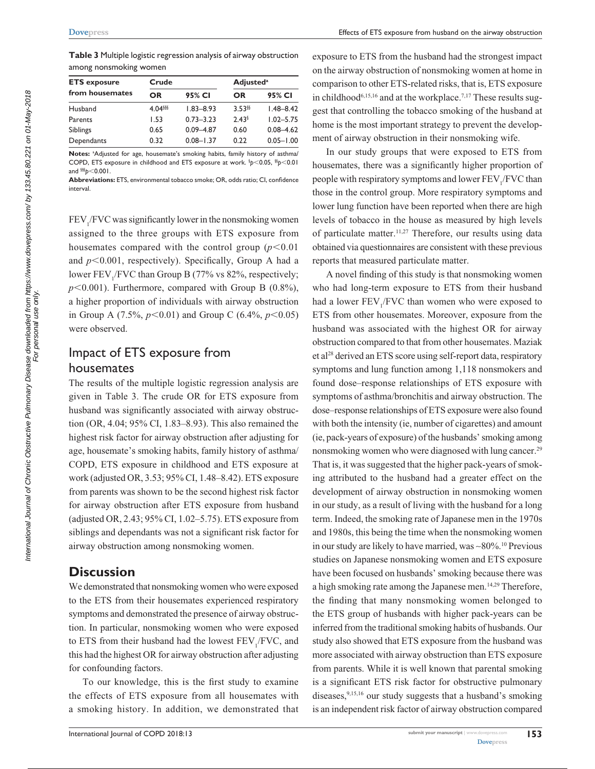**Table 3** Multiple logistic regression analysis of airway obstruction among nonsmoking women

| <b>ETS</b> exposure | Crude   |               | <b>Adjusted</b> <sup>a</sup> |               |
|---------------------|---------|---------------|------------------------------|---------------|
| from housemates     | OR      | 95% CI        | OR                           | 95% CI        |
| Husband             | 4.04§§§ | $1.83 - 8.93$ | 3.53%                        | $1.48 - 8.42$ |
| Parents             | 1.53    | $0.73 - 3.23$ | 7.43                         | $1.02 - 5.75$ |
| Siblings            | 0.65    | $0.09 - 4.87$ | 0.60                         | $0.08 - 4.62$ |
| Dependants          | 0.32    | $0.08 - 1.37$ | 0.22                         | $0.05 - 1.00$ |

Notes: <sup>a</sup>Adjusted for age, housemate's smoking habits, family history of asthma/ COPD, ETS exposure in childhood and ETS exposure at work.  $\S$ *p*<0.05,  $\S$ <sup>6</sup>*p*<0.01 and  $$66$ *p*<0.001.

**Abbreviations:** ETS, environmental tobacco smoke; OR, odds ratio; CI, confidence interval.

 $FEV<sub>1</sub>/FVC$  was significantly lower in the nonsmoking women assigned to the three groups with ETS exposure from housemates compared with the control group  $(p<0.01)$ and  $p<0.001$ , respectively). Specifically, Group A had a lower FEV<sub>1</sub>/FVC than Group B (77% vs 82%, respectively;  $p$ <0.001). Furthermore, compared with Group B (0.8%), a higher proportion of individuals with airway obstruction in Group A (7.5%,  $p$ <0.01) and Group C (6.4%,  $p$ <0.05) were observed.

## Impact of ETS exposure from housemates

The results of the multiple logistic regression analysis are given in Table 3. The crude OR for ETS exposure from husband was significantly associated with airway obstruction (OR, 4.04; 95% CI, 1.83–8.93). This also remained the highest risk factor for airway obstruction after adjusting for age, housemate's smoking habits, family history of asthma/ COPD, ETS exposure in childhood and ETS exposure at work (adjusted OR, 3.53; 95% CI, 1.48–8.42). ETS exposure from parents was shown to be the second highest risk factor for airway obstruction after ETS exposure from husband (adjusted OR, 2.43; 95% CI, 1.02–5.75). ETS exposure from siblings and dependants was not a significant risk factor for airway obstruction among nonsmoking women.

#### **Discussion**

We demonstrated that nonsmoking women who were exposed to the ETS from their housemates experienced respiratory symptoms and demonstrated the presence of airway obstruction. In particular, nonsmoking women who were exposed to ETS from their husband had the lowest  $FEV<sub>1</sub>/FVC$ , and this had the highest OR for airway obstruction after adjusting for confounding factors.

To our knowledge, this is the first study to examine the effects of ETS exposure from all housemates with a smoking history. In addition, we demonstrated that exposure to ETS from the husband had the strongest impact on the airway obstruction of nonsmoking women at home in comparison to other ETS-related risks, that is, ETS exposure in childhood<sup>6,15,16</sup> and at the workplace.<sup>7,17</sup> These results suggest that controlling the tobacco smoking of the husband at home is the most important strategy to prevent the development of airway obstruction in their nonsmoking wife.

In our study groups that were exposed to ETS from housemates, there was a significantly higher proportion of people with respiratory symptoms and lower  $\operatorname{FEV}_1/\operatorname{FVC}$  than those in the control group. More respiratory symptoms and lower lung function have been reported when there are high levels of tobacco in the house as measured by high levels of particulate matter.11,27 Therefore, our results using data obtained via questionnaires are consistent with these previous reports that measured particulate matter.

A novel finding of this study is that nonsmoking women who had long-term exposure to ETS from their husband had a lower  $FEV_1/FVC$  than women who were exposed to ETS from other housemates. Moreover, exposure from the husband was associated with the highest OR for airway obstruction compared to that from other housemates. Maziak et al28 derived an ETS score using self-report data, respiratory symptoms and lung function among 1,118 nonsmokers and found dose–response relationships of ETS exposure with symptoms of asthma/bronchitis and airway obstruction. The dose–response relationships of ETS exposure were also found with both the intensity (ie, number of cigarettes) and amount (ie, pack-years of exposure) of the husbands' smoking among nonsmoking women who were diagnosed with lung cancer.<sup>29</sup> That is, it was suggested that the higher pack-years of smoking attributed to the husband had a greater effect on the development of airway obstruction in nonsmoking women in our study, as a result of living with the husband for a long term. Indeed, the smoking rate of Japanese men in the 1970s and 1980s, this being the time when the nonsmoking women in our study are likely to have married, was  $\sim 80\%$ .<sup>10</sup> Previous studies on Japanese nonsmoking women and ETS exposure have been focused on husbands' smoking because there was a high smoking rate among the Japanese men.<sup>14,29</sup> Therefore, the finding that many nonsmoking women belonged to the ETS group of husbands with higher pack-years can be inferred from the traditional smoking habits of husbands. Our study also showed that ETS exposure from the husband was more associated with airway obstruction than ETS exposure from parents. While it is well known that parental smoking is a significant ETS risk factor for obstructive pulmonary diseases,<sup>9,15,16</sup> our study suggests that a husband's smoking is an independent risk factor of airway obstruction compared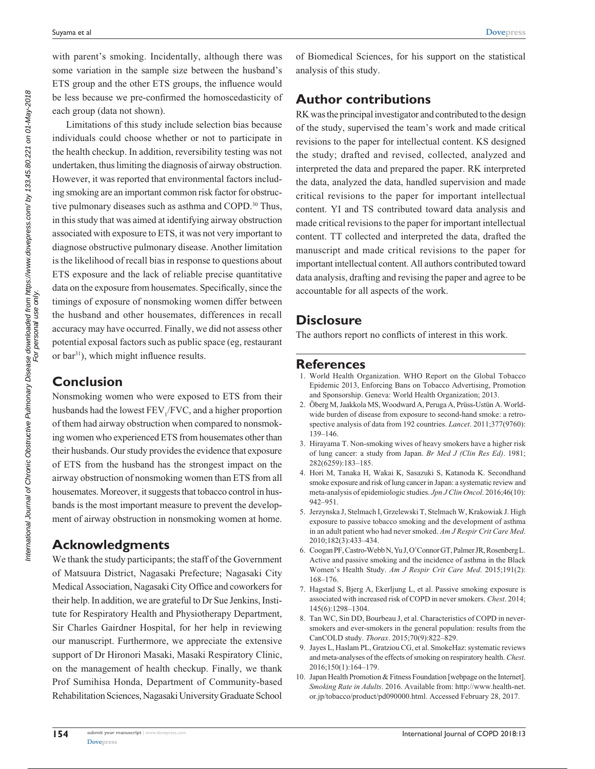with parent's smoking. Incidentally, although there was some variation in the sample size between the husband's ETS group and the other ETS groups, the influence would be less because we pre-confirmed the homoscedasticity of each group (data not shown).

Limitations of this study include selection bias because individuals could choose whether or not to participate in the health checkup. In addition, reversibility testing was not undertaken, thus limiting the diagnosis of airway obstruction. However, it was reported that environmental factors including smoking are an important common risk factor for obstructive pulmonary diseases such as asthma and COPD.<sup>30</sup> Thus, in this study that was aimed at identifying airway obstruction associated with exposure to ETS, it was not very important to diagnose obstructive pulmonary disease. Another limitation is the likelihood of recall bias in response to questions about ETS exposure and the lack of reliable precise quantitative data on the exposure from housemates. Specifically, since the timings of exposure of nonsmoking women differ between the husband and other housemates, differences in recall accuracy may have occurred. Finally, we did not assess other potential exposal factors such as public space (eg, restaurant or bar<sup>31</sup>), which might influence results.

## **Conclusion**

Nonsmoking women who were exposed to ETS from their husbands had the lowest  $\text{FEV}_1/\text{FVC}$ , and a higher proportion of them had airway obstruction when compared to nonsmoking women who experienced ETS from housemates other than their husbands. Our study provides the evidence that exposure of ETS from the husband has the strongest impact on the airway obstruction of nonsmoking women than ETS from all housemates. Moreover, it suggests that tobacco control in husbands is the most important measure to prevent the development of airway obstruction in nonsmoking women at home.

# **Acknowledgments**

We thank the study participants; the staff of the Government of Matsuura District, Nagasaki Prefecture; Nagasaki City Medical Association, Nagasaki City Office and coworkers for their help. In addition, we are grateful to Dr Sue Jenkins, Institute for Respiratory Health and Physiotherapy Department, Sir Charles Gairdner Hospital, for her help in reviewing our manuscript. Furthermore, we appreciate the extensive support of Dr Hironori Masaki, Masaki Respiratory Clinic, on the management of health checkup. Finally, we thank Prof Sumihisa Honda, Department of Community-based Rehabilitation Sciences, Nagasaki University Graduate School of Biomedical Sciences, for his support on the statistical analysis of this study.

## **Author contributions**

RK was the principal investigator and contributed to the design of the study, supervised the team's work and made critical revisions to the paper for intellectual content. KS designed the study; drafted and revised, collected, analyzed and interpreted the data and prepared the paper. RK interpreted the data, analyzed the data, handled supervision and made critical revisions to the paper for important intellectual content. YI and TS contributed toward data analysis and made critical revisions to the paper for important intellectual content. TT collected and interpreted the data, drafted the manuscript and made critical revisions to the paper for important intellectual content. All authors contributed toward data analysis, drafting and revising the paper and agree to be accountable for all aspects of the work.

## **Disclosure**

The authors report no conflicts of interest in this work.

#### **References**

- 1. World Health Organization. WHO Report on the Global Tobacco Epidemic 2013, Enforcing Bans on Tobacco Advertising, Promotion and Sponsorship. Geneva: World Health Organization; 2013.
- 2. Öberg M, Jaakkola MS, Woodward A, Peruga A, Prüss-Ustün A. Worldwide burden of disease from exposure to second-hand smoke: a retrospective analysis of data from 192 countries. *Lancet*. 2011;377(9760): 139–146.
- 3. Hirayama T. Non-smoking wives of heavy smokers have a higher risk of lung cancer: a study from Japan. *Br Med J (Clin Res Ed)*. 1981; 282(6259):183–185.
- 4. Hori M, Tanaka H, Wakai K, Sasazuki S, Katanoda K. Secondhand smoke exposure and risk of lung cancer in Japan: a systematic review and meta-analysis of epidemiologic studies. *Jpn J Clin Oncol*. 2016;46(10): 942–951.
- 5. Jerzynska J, Stelmach I, Grzelewski T, Stelmach W, Krakowiak J. High exposure to passive tobacco smoking and the development of asthma in an adult patient who had never smoked. *Am J Respir Crit Care Med*. 2010;182(3):433–434.
- 6. Coogan PF, Castro-Webb N, Yu J, O'Connor GT, Palmer JR, Rosenberg L. Active and passive smoking and the incidence of asthma in the Black Women's Health Study. *Am J Respir Crit Care Med*. 2015;191(2): 168–176.
- 7. Hagstad S, Bjerg A, Ekerljung L, et al. Passive smoking exposure is associated with increased risk of COPD in never smokers. *Chest*. 2014; 145(6):1298–1304.
- 8. Tan WC, Sin DD, Bourbeau J, et al. Characteristics of COPD in neversmokers and ever-smokers in the general population: results from the CanCOLD study. *Thorax*. 2015;70(9):822–829.
- 9. Jayes L, Haslam PL, Gratziou CG, et al. SmokeHaz: systematic reviews and meta-analyses of the effects of smoking on respiratory health. *Chest*. 2016;150(1):164–179.
- 10. Japan Health Promotion & Fitness Foundation [webpage on the Internet]. *Smoking Rate in Adults*. 2016. Available from: [http://www.health-net.](http://www.health-net.or.jp/tobacco/product/pd090000.html) [or.jp/tobacco/product/pd090000.html](http://www.health-net.or.jp/tobacco/product/pd090000.html). Accessed February 28, 2017.